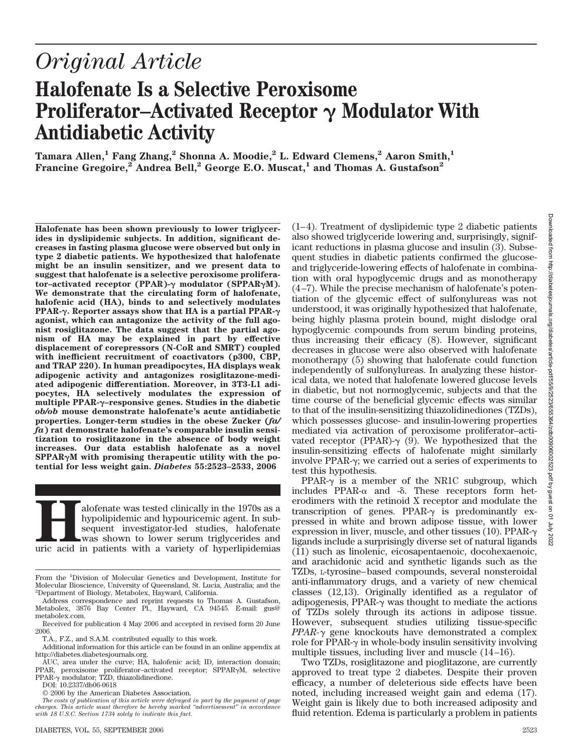# *Original Article*

# **Halofenate Is a Selective Peroxisome Proliferator–Activated Receptor**  $\gamma$  Modulator With **Antidiabetic Activity**

 $\mathrm{Tamara\ Allen,}^{1}$  **Fang Zhang,** $^{2}$  **Shonna A. Moodie,** $^{2}$  **L. Edward Clemens,** $^{2}$  **Aaron Smith,** $^{1}$  $\textbf{F}$ rancine Gregoire,<sup>2</sup> Andrea Bell,<sup>2</sup> George E.O. Muscat,<sup>1</sup> and Thomas A. Gustafson<sup>2</sup>

**Halofenate has been shown previously to lower triglycerides in dyslipidemic subjects. In addition, significant decreases in fasting plasma glucose were observed but only in type 2 diabetic patients. We hypothesized that halofenate might be an insulin sensitizer, and we present data to suggest that halofenate is a selective peroxisome proliferator–activated receptor (PPAR)- modulator (SPPARM). We demonstrate that the circulating form of halofenate, halofenic acid (HA), binds to and selectively modulates PPAR-. Reporter assays show that HA is a partial PPAR agonist, which can antagonize the activity of the full agonist rosiglitazone. The data suggest that the partial agonism of HA may be explained in part by effective displacement of corepressors (N-CoR and SMRT) coupled with inefficient recruitment of coactivators (p300, CBP, and TRAP 220). In human preadipocytes, HA displays weak adipogenic activity and antagonizes rosiglitazone-mediated adipogenic differentiation. Moreover, in 3T3-L1 adipocytes, HA selectively modulates the expression of multiple PPAR-–responsive genes. Studies in the diabetic** *ob/ob* **mouse demonstrate halofenate's acute antidiabetic properties. Longer-term studies in the obese Zucker (***fa/ fa***) rat demonstrate halofenate's comparable insulin sensitization to rosiglitazone in the absence of body weight increases. Our data establish halofenate as a novel SPPARM with promising therapeutic utility with the potential for less weight gain.** *Diabetes* **55:2523–2533, 2006**

alofenate was tested clinically in the 1970s as a hypolipidemic and hypouricemic agent. In subsequent investigator-led studies, halofenate was shown to lower serum triglycerides and uric acid in patients with a variety of hypolipidemic and hypouricemic agent. In subsequent investigator-led studies, halofenate was shown to lower serum triglycerides and also showed triglyceride lowering and, surprisingly, significant reductions in plasma glucose and insulin (3). Subsequent studies in diabetic patients confirmed the glucoseand triglyceride-lowering effects of halofenate in combination with oral hypoglycemic drugs and as monotherapy (4–7). While the precise mechanism of halofenate's potentiation of the glycemic effect of sulfonylureas was not understood, it was originally hypothesized that halofenate, being highly plasma protein bound, might dislodge oral hypoglycemic compounds from serum binding proteins, thus increasing their efficacy (8). However, significant decreases in glucose were also observed with halofenate monotherapy (5) showing that halofenate could function independently of sulfonylureas. In analyzing these historical data, we noted that halofenate lowered glucose levels in diabetic, but not normoglycemic, subjects and that the time course of the beneficial glycemic effects was similar to that of the insulin-sensitizing thiazolidinediones (TZDs), which possesses glucose- and insulin-lowering properties mediated via activation of peroxisome proliferator–activated receptor (PPAR)- $\gamma$  (9). We hypothesized that the insulin-sensitizing effects of halofenate might similarly involve PPAR- $\gamma$ ; we carried out a series of experiments to test this hypothesis.

(1–4). Treatment of dyslipidemic type 2 diabetic patients

PPAR- $\gamma$  is a member of the NR1C subgroup, which includes  $PPAR-\alpha$  and  $-\delta$ . These receptors form heterodimers with the retinoid X receptor and modulate the transcription of genes. PPAR- $\gamma$  is predominantly expressed in white and brown adipose tissue, with lower expression in liver, muscle, and other tissues (10). PPAR- $\gamma$ ligands include a surprisingly diverse set of natural ligands (11) such as linolenic, eicosapentaenoic, docohexaenoic, and arachidonic acid and synthetic ligands such as the TZDs, L-tyrosine–based compounds, several nonsteroidal anti-inflammatory drugs, and a variety of new chemical classes (12,13). Originally identified as a regulator of adipogenesis, PPAR- $\gamma$  was thought to mediate the actions of TZDs solely through its actions in adipose tissue. However, subsequent studies utilizing tissue-specific *PPAR-* $\gamma$  gene knockouts have demonstrated a complex role for PPAR- $\gamma$  in whole-body insulin sensitivity involving multiple tissues, including liver and muscle (14–16).

Two TZDs, rosiglitazone and pioglitazone, are currently approved to treat type 2 diabetes. Despite their proven efficacy, a number of deleterious side effects have been noted, including increased weight gain and edema (17). Weight gain is likely due to both increased adiposity and fluid retention. Edema is particularly a problem in patients

From the <sup>1</sup>Division of Molecular Genetics and Development, Institute for Molecular Bioscience, University of Queensland, St. Lucia, Australia; and the 2 Department of Biology, Metabolex, Hayward, California.

Address correspondence and reprint requests to Thomas A. Gustafson, Metabolex, 3876 Bay Center Pl., Hayward, CA 94545. E-mail: gus@ metabolex.com.

Received for publication 4 May 2006 and accepted in revised form 20 June 2006.

T.A., F.Z., and S.A.M. contributed equally to this work.

Additional information for this article can be found in an online appendix at http://diabetes.diabetesjournals.org.

AUC, area under the curve; HA, halofenic acid; ID, interaction domain; PPAR, peroxisome proliferator-activated receptor; SPPAR<sub>Y</sub>M, selective  $PPAR-\gamma$  modulator; TZD, thiazolidinedione.

DOI: 10.2337/db06-0618

<sup>© 2006</sup> by the American Diabetes Association.

*The costs of publication of this article were defrayed in part by the payment of page charges. This article must therefore be hereby marked "advertisement" in accordance with 18 U.S.C. Section 1734 solely to indicate this fact.*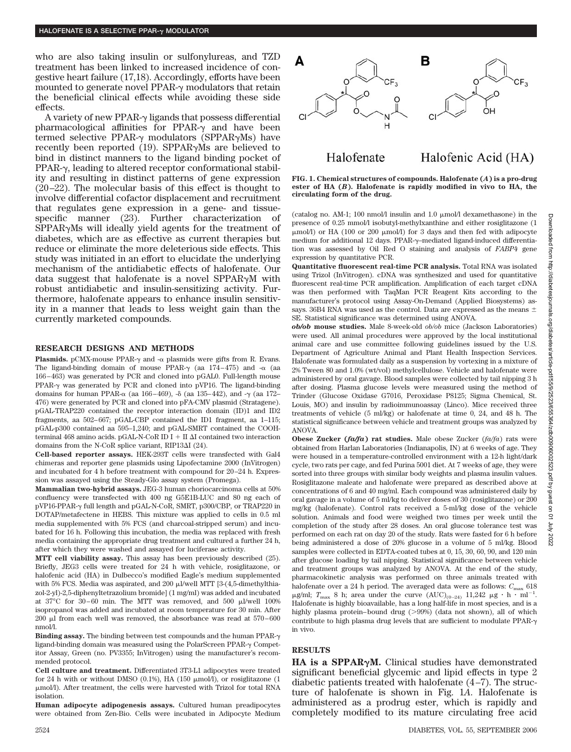who are also taking insulin or sulfonylureas, and TZD treatment has been linked to increased incidence of congestive heart failure (17,18). Accordingly, efforts have been mounted to generate novel PPAR- $\gamma$  modulators that retain the beneficial clinical effects while avoiding these side effects.

A variety of new PPAR- $\gamma$  ligands that possess differential pharmacological affinities for  $PPAR-\gamma$  and have been termed selective PPAR- $\gamma$  modulators (SPPAR $\gamma$ Ms) have recently been reported  $(19)$ . SPPAR $\gamma$ Ms are believed to bind in distinct manners to the ligand binding pocket of  $PPAR-\gamma$ , leading to altered receptor conformational stability and resulting in distinct patterns of gene expression (20–22). The molecular basis of this effect is thought to involve differential cofactor displacement and recruitment that regulates gene expression in a gene- and tissuespecific manner (23). Further characterization of  $SPPAR<sub>y</sub>Ms$  will ideally yield agents for the treatment of diabetes, which are as effective as current therapies but reduce or eliminate the more deleterious side effects. This study was initiated in an effort to elucidate the underlying mechanism of the antidiabetic effects of halofenate. Our data suggest that halofenate is a novel SPPAR $\gamma$ M with robust antidiabetic and insulin-sensitizing activity. Furthermore, halofenate appears to enhance insulin sensitivity in a manner that leads to less weight gain than the currently marketed compounds.

#### **RESEARCH DESIGNS AND METHODS**

**Plasmids.** pCMX-mouse PPAR- $\gamma$  and - $\alpha$  plasmids were gifts from R. Evans. The ligand-binding domain of mouse  $PPAR-\gamma$  (aa 174–475) and  $-\alpha$  (aa 166–463) was generated by PCR and cloned into pGAL0. Full-length mouse PPAR- $\gamma$  was generated by PCR and cloned into pVP16. The ligand-binding domains for human PPAR- $\alpha$  (aa 166–469), - $\delta$  (aa 135–442), and - $\gamma$  (aa 172– 476) were generated by PCR and cloned into pFA-CMV plasmid (Stratagene). pGAL-TRAP220 contained the receptor interaction domain (ID)1 and ID2 fragments, aa 502–667; pGAL-CBP contained the ID1 fragment, aa 1–115; pGAL-p300 contained aa 595–1,240; and pGAL-SMRT contained the COOHterminal 468 amino acids. pGAL-N-CoR ID I  $+$  II  $\Delta$ I contained two interaction domains from the N-CoR splice variant, RIP13 $\Delta$ I (24).

**Cell-based reporter assays.** HEK-293T cells were transfected with Gal4 chimeras and reporter gene plasmids using Lipofectamine 2000 (InVitrogen) and incubated for 4 h before treatment with compound for 20–24 h. Expression was assayed using the Steady-Glo assay system (Promega).

**Mammalian two-hybrid assays.** JEG-3 human choriocarcinoma cells at 50% confluency were transfected with 400 ng G5E1B-LUC and 80 ng each of pVP16-PPAR- $\gamma$  full length and pGAL-N-CoR, SMRT, p300/CBP, or TRAP220 in DOTAP/metafectene in HEBS. This mixture was applied to cells in 0.5 ml media supplemented with 5% FCS (and charcoal-stripped serum) and incubated for 16 h. Following this incubation, the media was replaced with fresh media containing the appropriate drug treatment and cultured a further 24 h, after which they were washed and assayed for luciferase activity.

**MTT cell viability assay.** This assay has been previously described (25). Briefly, JEG3 cells were treated for 24 h with vehicle, rosiglitazone, or halofenic acid (HA) in Dulbecco's modified Eagle's medium supplemented with 5% FCS. Media was aspirated, and 200  $\mu$ l/well MTT [3-(4,5-dimethylthiazol-2-yl)-2,5-diphenyltetrazolium bromide] (1 mg/ml) was added and incubated at 37°C for 30-60 min. The MTT was removed, and 500  $\mu$ I/well 100% isopropanol was added and incubated at room temperature for 30 min. After  $200 \mu$  I from each well was removed, the absorbance was read at  $570-600$ nmol/l.

**Binding assay.** The binding between test compounds and the human PPAR ligand-binding domain was measured using the PolarScreen PPAR- $\gamma$  Competitor Assay, Green (no. PV3355; InVitrogen) using the manufacturer's recommended protocol.

**Cell culture and treatment.** Differentiated 3T3-L1 adipocytes were treated for 24 h with or without DMSO (0.1%), HA (150  $\mu$ mol/l), or rosiglitazone (1 mol/l). After treatment, the cells were harvested with Trizol for total RNA isolation.

**Human adipocyte adipogenesis assays.** Cultured human preadipocytes were obtained from Zen-Bio. Cells were incubated in Adipocyte Medium



**FIG. 1. Chemical structures of compounds. Halofenate (***A***) is a pro-drug**

Halofenic Acid (HA)

**ester of HA (***B***). Halofenate is rapidly modified in vivo to HA, the circulating form of the drug.**

Halofenate

(catalog no. AM-1; 100 nmol/l insulin and 1.0  $\mu$ mol/l dexamethasone) in the presence of 0.25 mmol/l isobutyl-methylxanthine and either rosiglitazone (1  $\mu$ mol/l) or HA (100 or 200  $\mu$ mol/l) for 3 days and then fed with adipocyte medium for additional 12 days. PPAR- $\gamma$ -mediated ligand-induced differentiation was assessed by Oil Red O staining and analysis of *FABP4* gene expression by quantitative PCR.

**Quantitative fluorescent real-time PCR analysis.** Total RNA was isolated using Trizol (InVitrogen). cDNA was synthesized and used for quantitative fluorescent real-time PCR amplification. Amplification of each target cDNA was then performed with TaqMan PCR Reagent Kits according to the manufacturer's protocol using Assay-On-Demand (Applied Biosystems) assays. 36B4 RNA was used as the control. Data are expressed as the means  $\pm$ SE. Statistical significance was determined using ANOVA.

*ob/ob* **mouse studies.** Male 8-week-old *ob/ob* mice (Jackson Laboratories) were used. All animal procedures were approved by the local institutional animal care and use committee following guidelines issued by the U.S. Department of Agriculture Animal and Plant Health Inspection Services. Halofenate was formulated daily as a suspension by vortexing in a mixture of 2% Tween 80 and 1.0% (wt/vol) methylcellulose. Vehicle and halofenate were administered by oral gavage. Blood samples were collected by tail nipping 3 h after dosing. Plasma glucose levels were measured using the method of Trinder (Glucose Oxidase G7016, Peroxidase P8125; Sigma Chemical, St. Louis, MO) and insulin by radioimmunoassay (Linco). Mice received three treatments of vehicle (5 ml/kg) or halofenate at time 0, 24, and 48 h. The statistical significance between vehicle and treatment groups was analyzed by ANOVA.

**Obese Zucker (***fa/fa***) rat studies.** Male obese Zucker (*fa/fa*) rats were obtained from Harlan Laboratories (Indianapolis, IN) at 6 weeks of age. They were housed in a temperature-controlled environment with a 12-h light/dark cycle, two rats per cage, and fed Purina 5001 diet. At 7 weeks of age, they were sorted into three groups with similar body weights and plasma insulin values. Rosiglitazone maleate and halofenate were prepared as described above at concentrations of 6 and 40 mg/ml. Each compound was administered daily by oral gavage in a volume of 5 ml/kg to deliver doses of 30 (rosiglitazone) or 200 mg/kg (halofenate). Control rats received a 5-ml/kg dose of the vehicle solution. Animals and food were weighed two times per week until the completion of the study after 28 doses. An oral glucose tolerance test was performed on each rat on day 20 of the study. Rats were fasted for 6 h before being administered a dose of 20% glucose in a volume of 5 ml/kg. Blood samples were collected in EDTA-coated tubes at 0, 15, 30, 60, 90, and 120 min after glucose loading by tail nipping. Statistical significance between vehicle and treatment groups was analyzed by ANOVA. At the end of the study, pharmacokinetic analysis was performed on three animals treated with halofenate over a 24 h period. The averaged data were as follows:  $C_{\text{max}}$  618  $\mu$ g/ml;  $T_{\text{max}}$  8 h; area under the curve  $(AUC)_{(0-24)}$  11,242  $\mu$ g · h · ml<sup>-1</sup>. Halofenate is highly bioavailable, has a long half-life in most species, and is a highly plasma protein–bound drug  $(>\!\!99\%)$  (data not shown), all of which contribute to high plasma drug levels that are sufficient to modulate PPAR in vivo.

## **RESULTS**

HA is a SPPAR<sub>Y</sub>M. Clinical studies have demonstrated significant beneficial glycemic and lipid effects in type 2 diabetic patients treated with halofenate (4–7). The structure of halofenate is shown in Fig. 1*A*. Halofenate is administered as a prodrug ester, which is rapidly and completely modified to its mature circulating free acid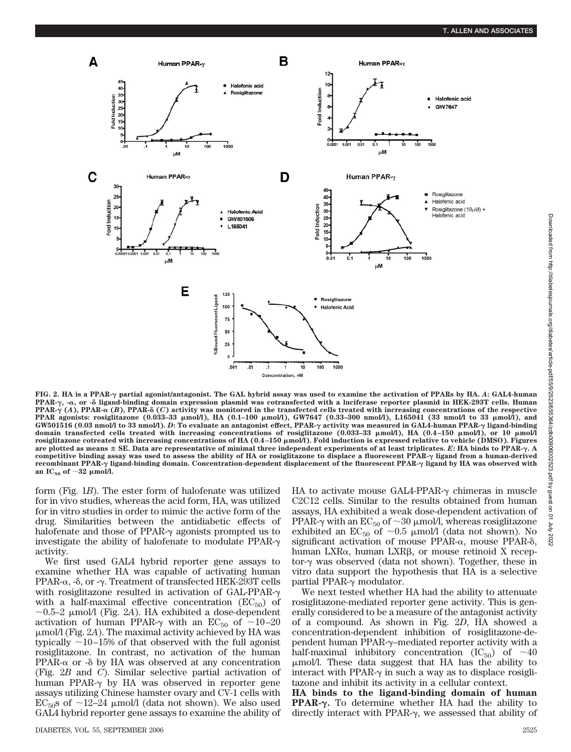

**FIG. 2. HA is a PPAR- partial agonist/antagonist. The GAL hybrid assay was used to examine the activation of PPARs by HA.** *A***: GAL4-human** PPAR- $\gamma$ , -a, or - $\delta$  ligand-binding domain expression plasmid was cotransfected with a luciferase reporter plasmid in HEK-293T cells. Human **PPAR-** $\gamma$  (*A*), **PPAR-** $\alpha$  (*B*), **PPAR-** $\delta$  (*C*) activity was monitored in the transfected cells treated with increasing concentrations of the respective **PPAR agonists: rosiglitazone (0.033–33 mol/l), HA (0.1–100 mol/l), GW7647 (0.33–300 nmol/l), L165041 (33 nmol/l to 33 mol/l), and GW501516 (0.03 nmol/l to 33 nmol/l).** *D***: To evaluate an antagonist effect, PPAR- activity was measured in GAL4-human PPAR- ligand-binding domain transfected cells treated with increasing concentrations of rosiglitazone (0.033–33 mol/l), HA (0.4 –150 mol/l), or 10 mol/l rosiglitazone cotreated with increasing concentrations of HA (0.4 –150 mol/l). Fold induction is expressed relative to vehicle (DMSO). Figures are plotted as means SE. Data are representative of minimal three independent experiments of at least triplicates.** *E***: HA binds to PPAR-. A competitive binding assay was used to assess the ability of HA or rosiglitazone to displace a fluorescent PPAR- ligand from a human-derived recombinant PPAR- ligand-binding domain. Concentration-dependent displacement of the fluorescent PPAR- ligand by HA was observed with** an  $IC_{50}$  of  $\sim$ 32  $\mu$ mol/l.

form (Fig. 1*B*). The ester form of halofenate was utilized for in vivo studies, whereas the acid form, HA, was utilized for in vitro studies in order to mimic the active form of the drug. Similarities between the antidiabetic effects of halofenate and those of PPAR- $\gamma$  agonists prompted us to investigate the ability of halofenate to modulate PPAR activity.

We first used GAL4 hybrid reporter gene assays to examine whether HA was capable of activating human PPAR- $\alpha$ , - $\delta$ , or - $\gamma$ . Treatment of transfected HEK-293T cells with rosiglitazone resulted in activation of GAL-PPAR with a half-maximal effective concentration  $(EC_{50})$  of  $\sim$ 0.5–2 µmol/l (Fig. 2A). HA exhibited a dose-dependent activation of human PPAR- $\gamma$  with an EC<sub>50</sub> of  $\sim$ 10–20 mol/l (Fig. 2*A*). The maximal activity achieved by HA was typically 10–15% of that observed with the full agonist rosiglitazone. In contrast, no activation of the human  $PPAR-\alpha$  or - $\delta$  by HA was observed at any concentration (Fig. 2*B* and *C*). Similar selective partial activation of human PPAR- $\gamma$  by HA was observed in reporter gene assays utilizing Chinese hamster ovary and CV-1 cells with  $EC_{50}$ s of ~12–24 µmol/l (data not shown). We also used GAL4 hybrid reporter gene assays to examine the ability of HA to activate mouse GAL4-PPAR- $\gamma$  chimeras in muscle C2C12 cells. Similar to the results obtained from human assays, HA exhibited a weak dose-dependent activation of PPAR- $\gamma$  with an EC<sub>50</sub> of  $\sim$ 30  $\mu$ mol/l, whereas rosiglitazone exhibited an  $EC_{50}$  of  $\sim 0.5$   $\mu$ mol/l (data not shown). No significant activation of mouse  $PPAR-\alpha$ , mouse  $PPAR-\delta$ , human  $LXR_{\alpha}$ , human  $LXR_{\beta}$ , or mouse retinoid X receptor- $\gamma$  was observed (data not shown). Together, these in vitro data support the hypothesis that HA is a selective partial PPAR- $\gamma$  modulator.

We next tested whether HA had the ability to attenuate rosiglitazone-mediated reporter gene activity. This is generally considered to be a measure of the antagonist activity of a compound. As shown in Fig. 2*D*, HA showed a concentration-dependent inhibition of rosiglitazone-dependent human PPAR- $\gamma$ –mediated reporter activity with a half-maximal inhibitory concentration  $(IC_{50})$  of  $\sim 40$ mol/l. These data suggest that HA has the ability to interact with PPAR- $\gamma$  in such a way as to displace rosiglitazone and inhibit its activity in a cellular context.

**HA binds to the ligand-binding domain of human PPAR-.** To determine whether HA had the ability to directly interact with PPAR- $\gamma$ , we assessed that ability of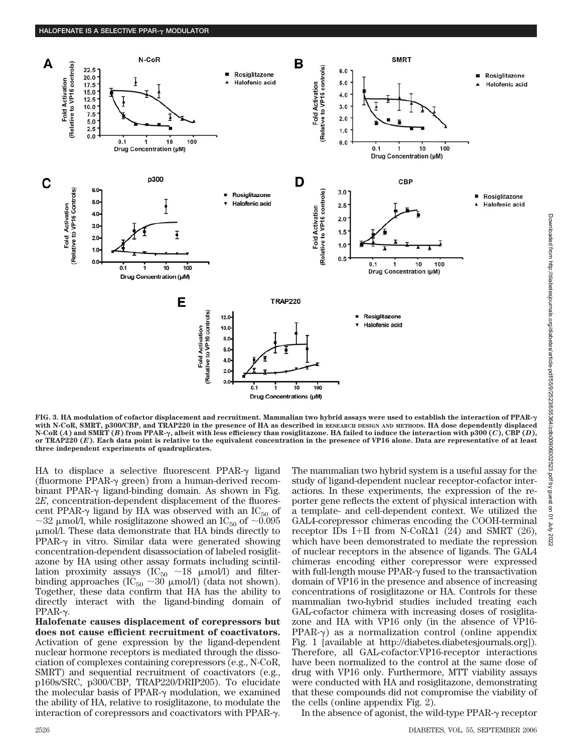

**FIG. 3. HA modulation of cofactor displacement and recruitment. Mammalian two hybrid assays were used to establish the interaction of PPAR with N-CoR, SMRT, p300/CBP, and TRAP220 in the presence of HA as described in RESEARCH DESIGN AND METHODS. HA dose dependently displaced N-CoR (***A***) and SMRT (***B***) from PPAR-, albeit with less efficiency than rosiglitazone. HA failed to induce the interaction with p300 (***C***), CBP (***D***), or TRAP220 (***E***). Each data point is relative to the equivalent concentration in the presence of VP16 alone. Data are representative of at least three independent experiments of quadruplicates.**

HA to displace a selective fluorescent PPAR- $\gamma$  ligand (fluormone PPAR- $\gamma$  green) from a human-derived recombinant PPAR- $\gamma$  ligand-binding domain. As shown in Fig. 2*E*, concentration-dependent displacement of the fluorescent PPAR- $\gamma$  ligand by HA was observed with an IC<sub>50</sub> of  ${\sim}32$  µmol/l, while rosiglitazone showed an IC<sub>50</sub> of  ${\sim}0.095$ mol/l. These data demonstrate that HA binds directly to  $PPAR-\gamma$  in vitro. Similar data were generated showing concentration-dependent disassociation of labeled rosiglitazone by HA using other assay formats including scintillation proximity assays  $(IC_{50} \sim 18 \mu mol/l)$  and filterbinding approaches (IC<sub>50</sub>  $\sim$ 30 µmol/l) (data not shown). Together, these data confirm that HA has the ability to directly interact with the ligand-binding domain of  $PPAR-\gamma$ .

**Halofenate causes displacement of corepressors but does not cause efficient recruitment of coactivators.** Activation of gene expression by the ligand-dependent nuclear hormone receptors is mediated through the dissociation of complexes containing corepressors (e.g., N-CoR, SMRT) and sequential recruitment of coactivators (e.g., p160s/SRC, p300/CBP, TRAP220/DRIP205). To elucidate the molecular basis of PPAR- $\gamma$  modulation, we examined the ability of HA, relative to rosiglitazone, to modulate the interaction of corepressors and coactivators with PPAR- $\gamma$ .

The mammalian two hybrid system is a useful assay for the study of ligand-dependent nuclear receptor-cofactor interactions. In these experiments, the expression of the reporter gene reflects the extent of physical interaction with a template- and cell-dependent context. We utilized the GAL4-corepressor chimeras encoding the COOH-terminal receptor IDs I+II from N-CoR $\Delta$ 1 (24) and SMRT (26), which have been demonstrated to mediate the repression of nuclear receptors in the absence of ligands. The GAL4 chimeras encoding either corepressor were expressed with full-length mouse  $PPAR-<sub>\gamma</sub>$  fused to the transactivation domain of VP16 in the presence and absence of increasing concentrations of rosiglitazone or HA. Controls for these mammalian two-hybrid studies included treating each GAL-cofactor chimera with increasing doses of rosiglitazone and HA with VP16 only (in the absence of VP16- PPAR- $\gamma$ ) as a normalization control (online appendix Fig. 1 [available at http://diabetes.diabetesjournals.org]). Therefore, all GAL-cofactor:VP16-receptor interactions have been normalized to the control at the same dose of drug with VP16 only. Furthermore, MTT viability assays were conducted with HA and rosiglitazone, demonstrating that these compounds did not compromise the viability of the cells (online appendix Fig. 2).

In the absence of agonist, the wild-type PPAR- $\gamma$  receptor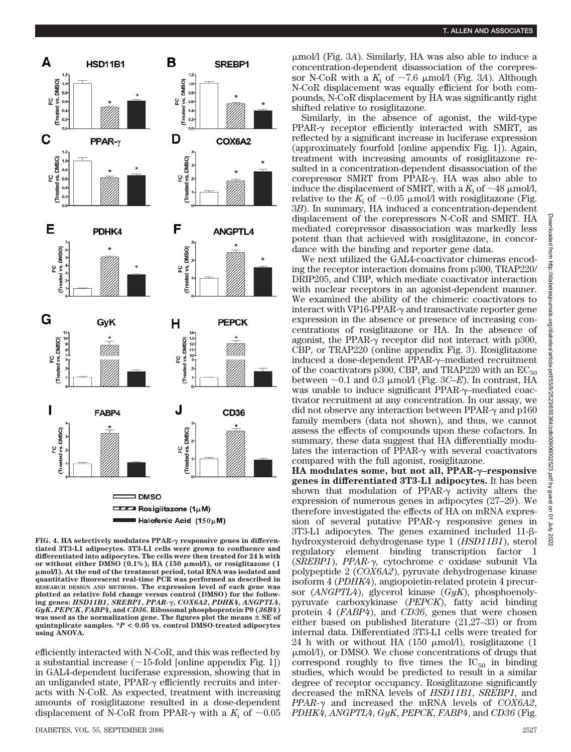

**FIG. 4. HA selectively modulates PPAR- responsive genes in differentiated 3T3-L1 adipocytes. 3T3-L1 cells were grown to confluence and differentiated into adipocytes. The cells were then treated for 24 h with or without either DMSO (0.1%), HA (150 mol/l), or rosiglitazone (1 mol/l). At the end of the treatment period, total RNA was isolated and quantitative fluorescent real-time PCR was performed as described in RESEARCH DESIGN AND METHODS. The expression level of each gene was plotted as relative fold change versus control (DMSO) for the following genes:** *HSD11B1***,** *SREBP1***,** *PPAR-***,** *COX6A2***,** *PDHK4***,** *ANGPTL4***,** *GyK***,** *PEPCK***,** *FABP4***, and** *CD36***. Ribosomal phosphoprotein P0 (***36B4***) was used as the normalization gene. The figures plot the means SE of quintuplicate samples. \****P* **< 0.05 vs. control DMSO-treated adipocytes using ANOVA.**

efficiently interacted with N-CoR, and this was reflected by a substantial increase  $(\sim]15$ -fold [online appendix Fig. 1]) in GAL4-dependent luciferase expression, showing that in an unliganded state,  $PPAR- $\gamma$  efficiently recurs and inter$ acts with N-CoR. As expected, treatment with increasing amounts of rosiglitazone resulted in a dose-dependent displacement of N-CoR from PPAR- $\gamma$  with a  $K_i$  of  $\sim 0.05$ 

mol/l (Fig. 3*A*). Similarly, HA was also able to induce a concentration-dependent disassociation of the corepressor N-CoR with a  $K_i$  of  $\sim 7.6$  µmol/l (Fig. 3*A*). Although N-CoR displacement was equally efficient for both compounds, N-CoR displacement by HA was significantly right shifted relative to rosiglitazone.

Similarly, in the absence of agonist, the wild-type  $PPAR-<sub>\gamma</sub>$  receptor efficiently interacted with SMRT, as reflected by a significant increase in luciferase expression (approximately fourfold [online appendix Fig. 1]). Again, treatment with increasing amounts of rosiglitazone resulted in a concentration-dependent disassociation of the corepressor SMRT from PPAR- $\gamma$ . HA was also able to induce the displacement of SMRT, with a  $K_i$  of  $\sim$  48  $\mu$ mol/l, relative to the  $K_i$  of  $\sim 0.05$   $\mu$ mol/l with rosiglitazone (Fig. 3*B*). In summary, HA induced a concentration-dependent displacement of the corepressors N-CoR and SMRT. HA mediated corepressor disassociation was markedly less potent than that achieved with rosiglitazone, in concordance with the binding and reporter gene data.

We next utilized the GAL4-coactivator chimeras encoding the receptor interaction domains from p300, TRAP220/ DRIP205, and CBP, which mediate coactivator interaction with nuclear receptors in an agonist-dependent manner. We examined the ability of the chimeric coactivators to interact with VP16-PPAR- $\gamma$  and transactivate reporter gene expression in the absence or presence of increasing concentrations of rosiglitazone or HA. In the absence of agonist, the PPAR- $\gamma$  receptor did not interact with p300, CBP, or TRAP220 (online appendix Fig. 3). Rosiglitazone induced a dose-dependent  $PPAR-\gamma$ –mediated recruitment of the coactivators p300, CBP, and TRAP220 with an  $EC_{50}$ between  $\sim$ 0.1 and 0.3  $\mu$ mol/l (Fig. 3*C–E*). In contrast, HA was unable to induce significant PPAR- $\gamma$ -mediated coactivator recruitment at any concentration. In our assay, we did not observe any interaction between PPAR- $\gamma$  and p160 family members (data not shown), and thus, we cannot assess the effects of compounds upon these cofactors. In summary, these data suggest that HA differentially modulates the interaction of PPAR- $\gamma$  with several coactivators compared with the full agonist, rosiglitazone.

**HA modulates some, but not all, PPAR-–responsive genes in differentiated 3T3-L1 adipocytes.** It has been shown that modulation of PPAR- $\gamma$  activity alters the expression of numerous genes in adipocytes (27–29). We therefore investigated the effects of HA on mRNA expression of several putative PPAR- $\gamma$  responsive genes in  $3T3-L1$  adipocytes. The genes examined included  $11-\beta$ hydroxysteroid dehydrogenase type 1 (*HSD11B1*), sterol regulatory element binding transcription factor 1 (*SREBP1*), *PPAR-*, cytochrome c oxidase subunit VIa polypeptide 2 (*COX6A2*), pyruvate dehydrogenase kinase isoform 4 (*PDHK4*), angiopoietin-related protein 4 precursor (*ANGPTL4*), glycerol kinase (*GyK*), phosphoenolypyruvate carboxykinase (*PEPCK*), fatty acid binding protein 4 (*FABP4*), and *CD36*, genes that were chosen either based on published literature (21,27–33) or from internal data. Differentiated 3T3-L1 cells were treated for 24 h with or without HA (150  $\mu$ mol/l), rosiglitazone (1 mol/l), or DMSO. We chose concentrations of drugs that correspond roughly to five times the  $IC_{50}$  in binding studies, which would be predicted to result in a similar degree of receptor occupancy. Rosiglitazone significantly decreased the mRNA levels of *HSD11B1*, *SREBP1*, and *PPAR-*γ and increased the mRNA levels of *COX6A2*, *PDHK4*, *ANGPTL4*, *GyK*, *PEPCK*, *FABP4*, and *CD36* (Fig.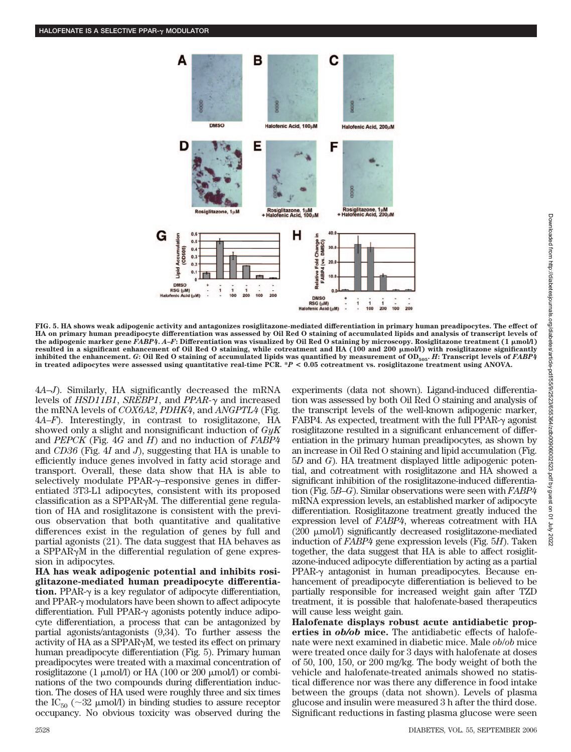

**FIG. 5. HA shows weak adipogenic activity and antagonizes rosiglitazone-mediated differentiation in primary human preadipocytes. The effect of HA on primary human preadipocyte differentiation was assessed by Oil Red O staining of accumulated lipids and analysis of transcript levels of the adipogenic marker gene** *FABP4***.** *A***–***F***: Differentiation was visualized by Oil Red O staining by microscopy. Rosiglitazone treatment (1 mol/l)** resulted in a significant enhancement of Oil Red O staining, while cotreatment and HA (100 and 200  $\mu$ mol/l) with rosiglitazone significantly **inhibited the enhancement.** *G***: Oil Red O staining of accumulated lipids was quantified by measurement of OD505.** *H***: Transcript levels of** *FABP4* **in treated adipocytes were assessed using quantitative real-time PCR. \****P* **< 0.05 cotreatment vs. rosiglitazone treatment using ANOVA.**

4*A*–*J*). Similarly, HA significantly decreased the mRNA levels of *HSD11B1*, *SREBP1*, and *PPAR-γ* and increased the mRNA levels of *COX6A2*, *PDHK4*, and *ANGPTL4* (Fig. 4*A*–*F*). Interestingly, in contrast to rosiglitazone, HA showed only a slight and nonsignificant induction of *GyK* and *PEPCK* (Fig. 4*G* and *H*) and no induction of *FABP4* and *CD36* (Fig. 4*I* and *J*), suggesting that HA is unable to efficiently induce genes involved in fatty acid storage and transport. Overall, these data show that HA is able to selectively modulate  $PPAR-\gamma$ –responsive genes in differentiated 3T3-L1 adipocytes, consistent with its proposed classification as a SPPAR $\gamma$ M. The differential gene regulation of HA and rosiglitazone is consistent with the previous observation that both quantitative and qualitative differences exist in the regulation of genes by full and partial agonists (21). The data suggest that HA behaves as a SPPAR $\gamma$ M in the differential regulation of gene expression in adipocytes.

**HA has weak adipogenic potential and inhibits rosiglitazone-mediated human preadipocyte differentiation.** PPAR- $\gamma$  is a key regulator of adipocyte differentiation, and PPAR- $\gamma$  modulators have been shown to affect adipocyte differentiation. Full PPAR- $\gamma$  agonists potently induce adipocyte differentiation, a process that can be antagonized by partial agonists/antagonists (9,34). To further assess the activity of HA as a SPPAR $\gamma$ M, we tested its effect on primary human preadipocyte differentiation (Fig. 5). Primary human preadipocytes were treated with a maximal concentration of rosiglitazone (1  $\mu$ mol/l) or HA (100 or 200  $\mu$ mol/l) or combinations of the two compounds during differentiation induction. The doses of HA used were roughly three and six times the  $IC_{50}$  ( $\sim$ 32  $\mu$ mol/l) in binding studies to assure receptor occupancy. No obvious toxicity was observed during the

experiments (data not shown). Ligand-induced differentiation was assessed by both Oil Red O staining and analysis of the transcript levels of the well-known adipogenic marker, FABP4. As expected, treatment with the full PPAR- $\gamma$  agonist rosiglitazone resulted in a significant enhancement of differentiation in the primary human preadipocytes, as shown by an increase in Oil Red O staining and lipid accumulation (Fig. 5*D* and *G*). HA treatment displayed little adipogenic potential, and cotreatment with rosiglitazone and HA showed a significant inhibition of the rosiglitazone-induced differentiation (Fig. 5*B*–*G*). Similar observations were seen with *FABP4* mRNA expression levels, an established marker of adipocyte differentiation. Rosiglitazone treatment greatly induced the expression level of *FABP4*, whereas cotreatment with HA (200  $\mu$ mol/l) significantly decreased rosiglitazone-mediated induction of *FABP4* gene expression levels (Fig. 5*H*). Taken together, the data suggest that HA is able to affect rosiglitazone-induced adipocyte differentiation by acting as a partial  $PPAR-<sub>\gamma</sub>$  antagonist in human preadipocytes. Because enhancement of preadipocyte differentiation is believed to be partially responsible for increased weight gain after TZD treatment, it is possible that halofenate-based therapeutics will cause less weight gain.

**Halofenate displays robust acute antidiabetic properties in** *ob/ob* **mice.** The antidiabetic effects of halofenate were next examined in diabetic mice. Male *ob*/*ob* mice were treated once daily for 3 days with halofenate at doses of 50, 100, 150, or 200 mg/kg. The body weight of both the vehicle and halofenate-treated animals showed no statistical difference nor was there any difference in food intake between the groups (data not shown). Levels of plasma glucose and insulin were measured 3 h after the third dose. Significant reductions in fasting plasma glucose were seen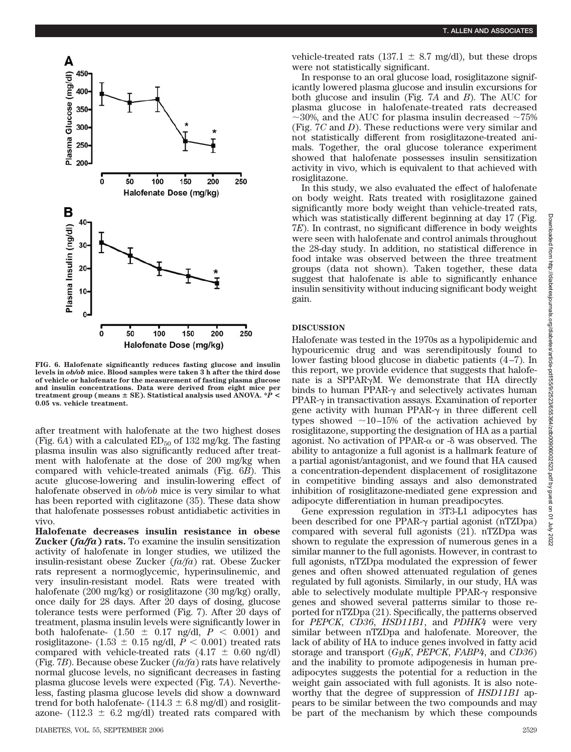

**FIG. 6. Halofenate significantly reduces fasting glucose and insulin levels in** *ob/ob* **mice. Blood samples were taken 3 h after the third dose of vehicle or halofenate for the measurement of fasting plasma glucose and insulin concentrations. Data were derived from eight mice per treatment group (means SE). Statistical analysis used ANOVA. \****P* **< 0.05 vs. vehicle treatment.**

after treatment with halofenate at the two highest doses (Fig.  $6A$ ) with a calculated  $ED_{50}$  of 132 mg/kg. The fasting plasma insulin was also significantly reduced after treatment with halofenate at the dose of 200 mg/kg when compared with vehicle-treated animals (Fig. 6*B*). This acute glucose-lowering and insulin-lowering effect of halofenate observed in *ob/ob* mice is very similar to what has been reported with ciglitazone (35). These data show that halofenate possesses robust antidiabetic activities in vivo.

**Halofenate decreases insulin resistance in obese Zucker (***fa/fa***) rats.** To examine the insulin sensitization activity of halofenate in longer studies, we utilized the insulin-resistant obese Zucker (*fa/fa*) rat. Obese Zucker rats represent a normoglycemic, hyperinsulinemic, and very insulin-resistant model. Rats were treated with halofenate (200 mg/kg) or rosiglitazone (30 mg/kg) orally, once daily for 28 days. After 20 days of dosing, glucose tolerance tests were performed (Fig. 7). After 20 days of treatment, plasma insulin levels were significantly lower in both halofenate-  $(1.50 \pm 0.17 \text{ ng/dl}, P < 0.001)$  and rosiglitazone-  $(1.53 \pm 0.15 \text{ ng/dl}, P < 0.001)$  treated rats compared with vehicle-treated rats  $(4.17 \pm 0.60 \text{ ng/dl})$ (Fig. 7*B*). Because obese Zucker (*fa/fa*) rats have relatively normal glucose levels, no significant decreases in fasting plasma glucose levels were expected (Fig. 7*A*). Nevertheless, fasting plasma glucose levels did show a downward trend for both halofenate- (114.3  $\pm$  6.8 mg/dl) and rosiglitazone-  $(112.3 \pm 6.2 \text{ mg/dl})$  treated rats compared with vehicle-treated rats (137.1  $\pm$  8.7 mg/dl), but these drops were not statistically significant.

In response to an oral glucose load, rosiglitazone significantly lowered plasma glucose and insulin excursions for both glucose and insulin (Fig. 7*A* and *B*). The AUC for plasma glucose in halofenate-treated rats decreased  $\sim$ 30%, and the AUC for plasma insulin decreased  $\sim$ 75% (Fig. 7*C* and *D*). These reductions were very similar and not statistically different from rosiglitazone-treated animals. Together, the oral glucose tolerance experiment showed that halofenate possesses insulin sensitization activity in vivo, which is equivalent to that achieved with rosiglitazone.

In this study, we also evaluated the effect of halofenate on body weight. Rats treated with rosiglitazone gained significantly more body weight than vehicle-treated rats, which was statistically different beginning at day 17 (Fig. 7*E*). In contrast, no significant difference in body weights were seen with halofenate and control animals throughout the 28-day study. In addition, no statistical difference in food intake was observed between the three treatment groups (data not shown). Taken together, these data suggest that halofenate is able to significantly enhance insulin sensitivity without inducing significant body weight gain.

#### **DISCUSSION**

Halofenate was tested in the 1970s as a hypolipidemic and hypouricemic drug and was serendipitously found to lower fasting blood glucose in diabetic patients (4–7). In this report, we provide evidence that suggests that halofenate is a SPPAR $\gamma$ M. We demonstrate that HA directly binds to human PPAR- $\gamma$  and selectively activates human  $PPAR-<sub>\gamma</sub>$  in transactivation assays. Examination of reporter gene activity with human PPAR- $\gamma$  in three different cell types showed  $\sim$ 10–15% of the activation achieved by rosiglitazone, supporting the designation of HA as a partial agonist. No activation of PPAR- $\alpha$  or - $\delta$  was observed. The ability to antagonize a full agonist is a hallmark feature of a partial agonist/antagonist, and we found that HA caused a concentration-dependent displacement of rosiglitazone in competitive binding assays and also demonstrated inhibition of rosiglitazone-mediated gene expression and adipocyte differentiation in human preadipocytes.

Gene expression regulation in 3T3-L1 adipocytes has been described for one PPAR- $\gamma$  partial agonist (nTZDpa) compared with several full agonists (21). nTZDpa was shown to regulate the expression of numerous genes in a similar manner to the full agonists. However, in contrast to full agonists, nTZDpa modulated the expression of fewer genes and often showed attenuated regulation of genes regulated by full agonists. Similarly, in our study, HA was able to selectively modulate multiple PPAR- $\gamma$  responsive genes and showed several patterns similar to those reported for nTZDpa (21). Specifically, the patterns observed for *PEPCK*, *CD36*, *HSD11B1*, and *PDHK4* were very similar between nTZDpa and halofenate. Moreover, the lack of ability of HA to induce genes involved in fatty acid storage and transport (*GyK*, *PEPCK*, *FABP4*, and *CD36*) and the inability to promote adipogenesis in human preadipocytes suggests the potential for a reduction in the weight gain associated with full agonists. It is also noteworthy that the degree of suppression of *HSD11B1* appears to be similar between the two compounds and may be part of the mechanism by which these compounds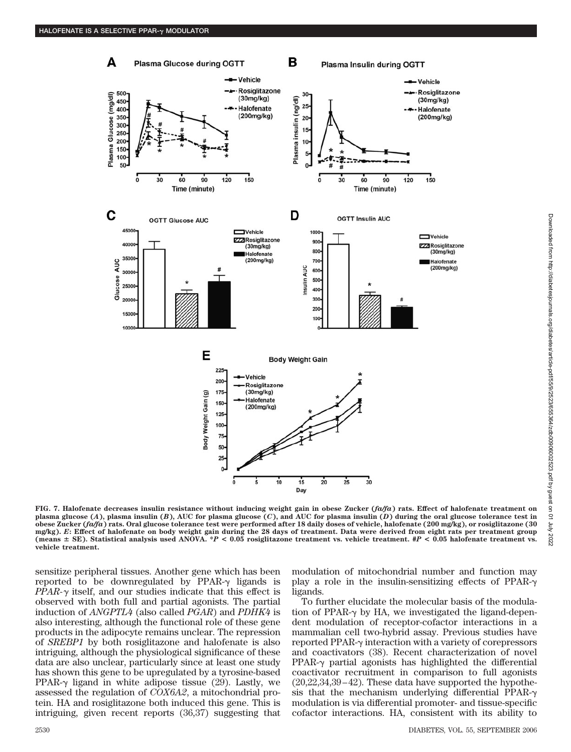

**FIG. 7. Halofenate decreases insulin resistance without inducing weight gain in obese Zucker (***fa/fa***) rats. Effect of halofenate treatment on plasma glucose (***A***), plasma insulin (***B***), AUC for plasma glucose (***C***), and AUC for plasma insulin (***D***) during the oral glucose tolerance test in obese Zucker (***fa/fa***) rats. Oral glucose tolerance test were performed after 18 daily doses of vehicle, halofenate (200 mg/kg), or rosiglitazone (30 mg/kg).** *E***: Effect of halofenate on body weight gain during the 28 days of treatment. Data were derived from eight rats per treatment group (means SE). Statistical analysis used ANOVA. \****P* **< 0.05 rosiglitazone treatment vs. vehicle treatment. #***P* **< 0.05 halofenate treatment vs. vehicle treatment.**

sensitize peripheral tissues. Another gene which has been reported to be downregulated by  $PPAR-\gamma$  ligands is  $PPAR-\gamma$  itself, and our studies indicate that this effect is observed with both full and partial agonists. The partial induction of *ANGPTL4* (also called *PGAR*) and *PDHK4* is also interesting, although the functional role of these gene products in the adipocyte remains unclear. The repression of *SREBP1* by both rosiglitazone and halofenate is also intriguing, although the physiological significance of these data are also unclear, particularly since at least one study has shown this gene to be upregulated by a tyrosine-based PPAR- $\gamma$  ligand in white adipose tissue (29). Lastly, we assessed the regulation of *COX6A2*, a mitochondrial protein. HA and rosiglitazone both induced this gene. This is intriguing, given recent reports (36,37) suggesting that modulation of mitochondrial number and function may play a role in the insulin-sensitizing effects of PPAR- $\gamma$ ligands.

To further elucidate the molecular basis of the modulation of PPAR- $\gamma$  by HA, we investigated the ligand-dependent modulation of receptor-cofactor interactions in a mammalian cell two-hybrid assay. Previous studies have reported PPAR- $\gamma$  interaction with a variety of corepressors and coactivators (38). Recent characterization of novel PPAR- $\gamma$  partial agonists has highlighted the differential coactivator recruitment in comparison to full agonists (20,22,34,39–42). These data have supported the hypothesis that the mechanism underlying differential PPAR- $\gamma$ modulation is via differential promoter- and tissue-specific cofactor interactions. HA, consistent with its ability to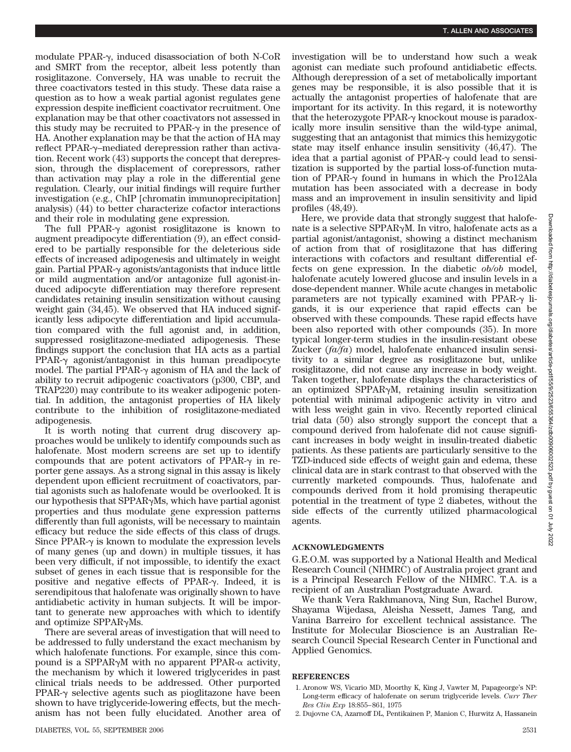modulate PPAR- $\gamma$ , induced disassociation of both N-CoR and SMRT from the receptor, albeit less potently than rosiglitazone. Conversely, HA was unable to recruit the three coactivators tested in this study. These data raise a question as to how a weak partial agonist regulates gene expression despite inefficient coactivator recruitment. One explanation may be that other coactivators not assessed in this study may be recruited to  $PPAR-\gamma$  in the presence of HA. Another explanation may be that the action of HA may reflect PPAR- $\gamma$ -mediated derepression rather than activation. Recent work (43) supports the concept that derepression, through the displacement of corepressors, rather than activation may play a role in the differential gene regulation. Clearly, our initial findings will require further investigation (e.g., ChIP [chromatin immunoprecipitation] analysis) (44) to better characterize cofactor interactions and their role in modulating gene expression.

The full PPAR- $\gamma$  agonist rosiglitazone is known to augment preadipocyte differentiation (9), an effect considered to be partially responsible for the deleterious side effects of increased adipogenesis and ultimately in weight gain. Partial PPAR- $\gamma$  agonists/antagonists that induce little or mild augmentation and/or antagonize full agonist-induced adipocyte differentiation may therefore represent candidates retaining insulin sensitization without causing weight gain (34,45). We observed that HA induced significantly less adipocyte differentiation and lipid accumulation compared with the full agonist and, in addition, suppressed rosiglitazone-mediated adipogenesis. These findings support the conclusion that HA acts as a partial  $PPAR-<sub>\gamma</sub>$  agonist/antagonist in this human preadipocyte model. The partial PPAR- $\gamma$  agonism of HA and the lack of ability to recruit adipogenic coactivators (p300, CBP, and TRAP220) may contribute to its weaker adipogenic potential. In addition, the antagonist properties of HA likely contribute to the inhibition of rosiglitazone-mediated adipogenesis.

It is worth noting that current drug discovery approaches would be unlikely to identify compounds such as halofenate. Most modern screens are set up to identify compounds that are potent activators of PPAR- $\gamma$  in reporter gene assays. As a strong signal in this assay is likely dependent upon efficient recruitment of coactivators, partial agonists such as halofenate would be overlooked. It is our hypothesis that  $SPPAR\gamma Ms$ , which have partial agonist properties and thus modulate gene expression patterns differently than full agonists, will be necessary to maintain efficacy but reduce the side effects of this class of drugs. Since PPAR- $\gamma$  is known to modulate the expression levels of many genes (up and down) in multiple tissues, it has been very difficult, if not impossible, to identify the exact subset of genes in each tissue that is responsible for the positive and negative effects of PPAR- $\gamma$ . Indeed, it is serendipitous that halofenate was originally shown to have antidiabetic activity in human subjects. It will be important to generate new approaches with which to identify and optimize SPPAR $\gamma$ Ms.

There are several areas of investigation that will need to be addressed to fully understand the exact mechanism by which halofenate functions. For example, since this compound is a SPPAR $\gamma$ M with no apparent PPAR- $\alpha$  activity, the mechanism by which it lowered triglycerides in past clinical trials needs to be addressed. Other purported  $PPAR-<sub>\gamma</sub>$  selective agents such as pioglitazone have been shown to have triglyceride-lowering effects, but the mechanism has not been fully elucidated. Another area of

investigation will be to understand how such a weak agonist can mediate such profound antidiabetic effects. Although derepression of a set of metabolically important genes may be responsible, it is also possible that it is actually the antagonist properties of halofenate that are important for its activity. In this regard, it is noteworthy that the heterozygote PPAR- $\gamma$  knockout mouse is paradoxically more insulin sensitive than the wild-type animal, suggesting that an antagonist that mimics this hemizygotic state may itself enhance insulin sensitivity (46,47). The idea that a partial agonist of PPAR- $\gamma$  could lead to sensitization is supported by the partial loss-of-function mutation of PPAR- $\gamma$  found in humans in which the Pro12Ala mutation has been associated with a decrease in body mass and an improvement in insulin sensitivity and lipid profiles (48,49).

Here, we provide data that strongly suggest that halofenate is a selective SPPAR $\gamma$ M. In vitro, halofenate acts as a partial agonist/antagonist, showing a distinct mechanism of action from that of rosiglitazone that has differing interactions with cofactors and resultant differential effects on gene expression. In the diabetic *ob/ob* model, halofenate acutely lowered glucose and insulin levels in a dose-dependent manner. While acute changes in metabolic parameters are not typically examined with PPAR- $\gamma$  ligands, it is our experience that rapid effects can be observed with these compounds. These rapid effects have been also reported with other compounds (35). In more typical longer-term studies in the insulin-resistant obese Zucker (*fa/fa*) model, halofenate enhanced insulin sensitivity to a similar degree as rosiglitazone but, unlike rosiglitazone, did not cause any increase in body weight. Taken together, halofenate displays the characteristics of an optimized SPPAR $\gamma$ M, retaining insulin sensitization potential with minimal adipogenic activity in vitro and with less weight gain in vivo. Recently reported clinical trial data (50) also strongly support the concept that a compound derived from halofenate did not cause significant increases in body weight in insulin-treated diabetic patients. As these patients are particularly sensitive to the TZD-induced side effects of weight gain and edema, these clinical data are in stark contrast to that observed with the currently marketed compounds. Thus, halofenate and compounds derived from it hold promising therapeutic potential in the treatment of type 2 diabetes, without the side effects of the currently utilized pharmacological agents.

### **ACKNOWLEDGMENTS**

G.E.O.M. was supported by a National Health and Medical Research Council (NHMRC) of Australia project grant and is a Principal Research Fellow of the NHMRC. T.A. is a recipient of an Australian Postgraduate Award.

We thank Vera Rakhmanova, Ning Sun, Rachel Burow, Shayama Wijedasa, Aleisha Nessett, James Tang, and Vanina Barreiro for excellent technical assistance. The Institute for Molecular Bioscience is an Australian Research Council Special Research Center in Functional and Applied Genomics.

#### **REFERENCES**

- 1. Aronow WS, Vicario MD, Moorthy K, King J, Vawter M, Papageorge's NP: Long-term efficacy of halofenate on serum triglyceride levels. *Curr Ther Res Clin Exp* 18:855–861, 1975
- 2. Dujovne CA, Azarnoff DL, Pentikainen P, Manion C, Hurwitz A, Hassanein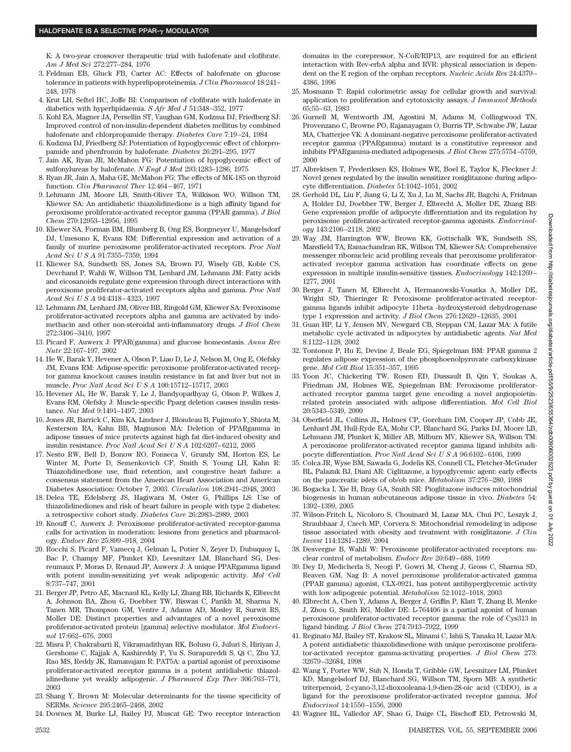K: A two-year crossover therapeutic trial with halofenate and clofibrate. *Am J Med Sci* 272:277–284, 1976

- 3. Feldman EB, Gluck FB, Carter AC: Effects of halofenate on glucose tolerance in patients with hyperlipoproteinemia. *J Clin Pharmacol* 18:241– 248, 1978
- 4. Krut LH, Seftel HC, Joffe BI: Comparison of clofibrate with halofenate in diabetics with hyperlipidaemia. *S Afr Med J* 51:348–352, 1977
- 5. Kohl EA, Magner JA, Persellin ST, Vaughan GM, Kudzma DJ, Friedberg SJ: Improved control of non-insulin-dependent diabetes mellitus by combined halofenate and chlorpropamide therapy. *Diabetes Care* 7:19–24, 1984
- 6. Kudzma DJ, Friedberg SJ: Potentiation of hypoglycemic effect of chlorpropamide and phenfromin by halofenate. *Diabetes* 26:291–295, 1977
- 7. Jain AK, Ryan JR, McMahon FG: Potentiation of hypoglycemic effect of sulfonylureas by halofenate. *N Engl J Med* 293:1283–1286, 1975
- 8. Ryan JR, Jain A, Maha GE, McMahon FG: The effects of MK-185 on thyroid function. *Clin Pharmacol Ther* 12:464–467, 1971
- 9. Lehmann JM, Moore LB, Smith-Oliver TA, Wilkison WO, Willson TM, Kliewer SA: An antidiabetic thiazolidinedione is a high affinity ligand for peroxisome proliferator-activated receptor gamma (PPAR gamma). *J Biol Chem* 270:12953–12956, 1995
- 10. Kliewer SA, Forman BM, Blumberg B, Ong ES, Borgmeyer U, Mangelsdorf DJ, Umesono K, Evans RM: Differential expression and activation of a family of murine peroxisome proliferator-activated receptors. *Proc Natl Acad SciUSA* 91:7355–7359, 1994
- 11. Kliewer SA, Sundseth SS, Jones SA, Brown PJ, Wisely GB, Koble CS, Devchand P, Wahli W, Willson TM, Lenhard JM, Lehmann JM: Fatty acids and eicosanoids regulate gene expression through direct interactions with peroxisome proliferator-activated receptors alpha and gamma. *Proc Natl Acad SciUSA* 94:4318–4323, 1997
- 12. Lehmann JM, Lenhard JM, Oliver BB, Ringold GM, Kliewer SA: Peroxisome proliferator-activated receptors alpha and gamma are activated by indomethacin and other non-steroidal anti-inflammatory drugs. *J Biol Chem* 272:3406–3410, 1997
- 13. Picard F, Auwerx J: PPAR(gamma) and glucose homeostasis. *Annu Rev Nutr* 22:167–197, 2002
- 14. He W, Barak Y, Hevener A, Olson P, Liao D, Le J, Nelson M, Ong E, Olefsky JM, Evans RM: Adipose-specific peroxisome proliferator-activated receptor gamma knockout causes insulin resistance in fat and liver but not in muscle. *Proc Natl Acad SciUSA* 100:15712–15717, 2003
- 15. Hevener AL, He W, Barak Y, Le J, Bandyopadhyay G, Olson P, Wilkes J, Evans RM, Olefsky J: Muscle-specific Pparg deletion causes insulin resistance. *Nat Med* 9:1491–1497, 2003
- 16. Jones JR, Barrick C, Kim KA, Lindner J, Blondeau B, Fujimoto Y, Shiota M, Kesterson RA, Kahn BB, Magnuson MA: Deletion of PPARgamma in adipose tissues of mice protects against high fat diet-induced obesity and insulin resistance. *Proc Natl Acad SciUSA* 102:6207–6212, 2005
- 17. Nesto RW, Bell D, Bonow RO, Fonseca V, Grundy SM, Horton ES, Le Winter M, Porte D, Semenkovich CF, Smith S, Young LH, Kahn R: Thiazolidinedione use, fluid retention, and congestive heart failure: a consensus statement from the American Heart Association and American Diabetes Association: October 7, 2003. *Circulation* 108:2941–2948, 2003
- 18. Delea TE, Edelsberg JS, Hagiwara M, Oster G, Phillips LS: Use of thiazolidinediones and risk of heart failure in people with type 2 diabetes: a retrospective cohort study. *Diabetes Care* 26:2983–2989, 2003
- 19. Knouff C, Auwerx J: Peroxisome proliferator-activated receptor-gamma calls for activation in moderation: lessons from genetics and pharmacology. *Endocr Rev* 25:899–918, 2004
- 20. Rocchi S, Picard F, Vamecq J, Gelman L, Potier N, Zeyer D, Dubuquoy L, Bac P, Champy MF, Plunket KD, Leesnitzer LM, Blanchard SG, Desreumaux P, Moras D, Renaud JP, Auwerx J: A unique PPARgamma ligand with potent insulin-sensitizing yet weak adipogenic activity. *Mol Cell* 8:737–747, 2001
- 21. Berger JP, Petro AE, Macnaul KL, Kelly LJ, Zhang BB, Richards K, Elbrecht A, Johnson BA, Zhou G, Doebber TW, Biswas C, Parikh M, Sharma N, Tanen MR, Thompson GM, Ventre J, Adams AD, Mosley R, Surwit RS, Moller DE: Distinct properties and advantages of a novel peroxisome proliferator-activated protein [gamma] selective modulator. *Mol Endocrinol* 17:662–676, 2003
- 22. Misra P, Chakrabarti R, Vikramadithyan RK, Bolusu G, Juluri S, Hiriyan J, Gershome C, Rajjak A, Kashireddy P, Yu S, Surapureddi S, Qi C, Zhu YJ, Rao MS, Reddy JK, Ramanujam R: PAT5A: a partial agonist of peroxisome proliferator-activated receptor gamma is a potent antidiabetic thiazolidinedione yet weakly adipogenic. *J Pharmacol Exp Ther* 306:763–771, 2003
- 23. Shang Y, Brown M: Molecular determinants for the tissue specificity of SERMs. *Science* 295:2465–2468, 2002
- 24. Downes M, Burke LJ, Bailey PJ, Muscat GE: Two receptor interaction

domains in the corepressor, N-CoR/RIP13, are required for an efficient interaction with Rev-erbA alpha and RVR: physical association is dependent on the E region of the orphan receptors. *Nucleic Acids Res* 24:4379– 4386, 1996

- 25. Mosmann T: Rapid colorimetric assay for cellular growth and survival: application to proliferation and cytotoxicity assays. *J Immunol Methods* 65:55–63, 1983
- 26. Gurnell M, Wentworth JM, Agostini M, Adams M, Collingwood TN, Provenzano C, Browne PO, Rajanayagam O, Burris TP, Schwabe JW, Lazar MA, Chatterjee VK: A dominant-negative peroxisome proliferator-activated receptor gamma (PPARgamma) mutant is a constitutive repressor and inhibits PPARgamma-mediated adipogenesis. *J Biol Chem* 275:5754–5759, 2000
- 27. Albrektsen T, Frederiksen KS, Holmes WE, Boel E, Taylor K, Fleckner J: Novel genes regulated by the insulin sensitizer rosiglitazone during adipocyte differentiation. *Diabetes* 51:1042–1051, 2002
- 28. Gerhold DL, Liu F, Jiang G, Li Z, Xu J, Lu M, Sachs JR, Bagchi A, Fridman A, Holder DJ, Doebber TW, Berger J, Elbrecht A, Moller DE, Zhang BB: Gene expression profile of adipocyte differentiation and its regulation by peroxisome proliferator-activated receptor-gamma agonists. *Endocrinology* 143:2106–2118, 2002
- 29. Way JM, Harrington WW, Brown KK, Gottschalk WK, Sundseth SS, Mansfield TA, Ramachandran RK, Willson TM, Kliewer SA: Comprehensive messenger ribonucleic acid profiling reveals that peroxisome proliferatoractivated receptor gamma activation has coordinate effects on gene expression in multiple insulin-sensitive tissues. *Endocrinology* 142:1269– 1277, 2001
- 30. Berger J, Tanen M, Elbrecht A, Hermanowski-Vosatka A, Moller DE, Wright SD, Thieringer R: Peroxisome proliferator-activated receptorgamma ligands inhibit adipocyte 11beta -hydroxysteroid dehydrogenase type 1 expression and activity. *J Biol Chem* 276:12629–12635, 2001
- 31. Guan HP, Li Y, Jensen MV, Newgard CB, Steppan CM, Lazar MA: A futile metabolic cycle activated in adipocytes by antidiabetic agents. *Nat Med* 8:1122–1128, 2002
- 32. Tontonoz P, Hu E, Devine J, Beale EG, Spiegelman BM: PPAR gamma 2 regulates adipose expression of the phosphoenolpyruvate carboxykinase gene. *Mol Cell Biol* 15:351–357, 1995
- 33. Yoon JC, Chickering TW, Rosen ED, Dussault B, Qin Y, Soukas A, Friedman JM, Holmes WE, Spiegelman BM: Peroxisome proliferatoractivated receptor gamma target gene encoding a novel angiopoietinrelated protein associated with adipose differentiation. *Mol Cell Biol* 20:5343–5349, 2000
- 34. Oberfield JL, Collins JL, Holmes CP, Goreham DM, Cooper JP, Cobb JE, Lenhard JM, Hull-Ryde EA, Mohr CP, Blanchard SG, Parks DJ, Moore LB, Lehmann JM, Plunket K, Miller AB, Milburn MV, Kliewer SA, Willson TM: A peroxisome proliferator-activated receptor gamma ligand inhibits adipocyte differentiation. *Proc Natl Acad SciUSA* 96:6102–6106, 1999
- 35. Colca JR, Wyse BM, Sawada G, Jodelis KS, Connell CL, Fletcher-McGruder BL, Palazuk BJ, Diani AR: Ciglitazone, a hypoglycemic agent: early effects on the pancreatic islets of ob/ob mice. *Metabolism* 37:276–280, 1988
- 36. Bogacka I, Xie H, Bray GA, Smith SR: Pioglitazone induces mitochondrial biogenesis in human subcutaneous adipose tissue in vivo. *Diabetes* 54: 1392–1399, 2005
- 37. Wilson-Fritch L, Nicoloro S, Chouinard M, Lazar MA, Chui PC, Leszyk J, Straubhaar J, Czech MP, Corvera S: Mitochondrial remodeling in adipose tissue associated with obesity and treatment with rosiglitazone. *J Clin Invest* 114:1281–1289, 2004
- 38. Desvergne B, Wahli W: Peroxisome proliferator-activated receptors: nuclear control of metabolism. *Endocr Rev* 20:649–688, 1999
- 39. Dey D, Medicherla S, Neogi P, Gowri M, Cheng J, Gross C, Sharma SD, Reaven GM, Nag B: A novel peroxisome proliferator-activated gamma (PPAR gamma) agonist, CLX-0921, has potent antihyperglycemic activity with low adipogenic potential. *Metabolism* 52:1012–1018, 2003
- 40. Elbrecht A, Chen Y, Adams A, Berger J, Griffin P, Klatt T, Zhang B, Menke J, Zhou G, Smith RG, Moller DE: L-764406 is a partial agonist of human peroxisome proliferator-activated receptor gamma: the role of Cys313 in ligand binding. *J Biol Chem* 274:7913–7922, 1999
- 41. Reginato MJ, Bailey ST, Krakow SL, Minami C, Ishii S, Tanaka H, Lazar MA: A potent antidiabetic thiazolidinedione with unique peroxisome proliferator-activated receptor gamma-activating properties. *J Biol Chem* 273: 32679–32684, 1998
- 42. Wang Y, Porter WW, Suh N, Honda T, Gribble GW, Leesnitzer LM, Plunket KD, Mangelsdorf DJ, Blanchard SG, Willson TM, Sporn MB: A synthetic triterpenoid, 2-cyano-3,12-dioxooleana-1,9-dien-28-oic acid (CDDO), is a ligand for the peroxisome proliferator-activated receptor gamma. *Mol Endocrinol* 14:1550–1556, 2000
- 43. Wagner BL, Valledor AF, Shao G, Daige CL, Bischoff ED, Petrowski M,